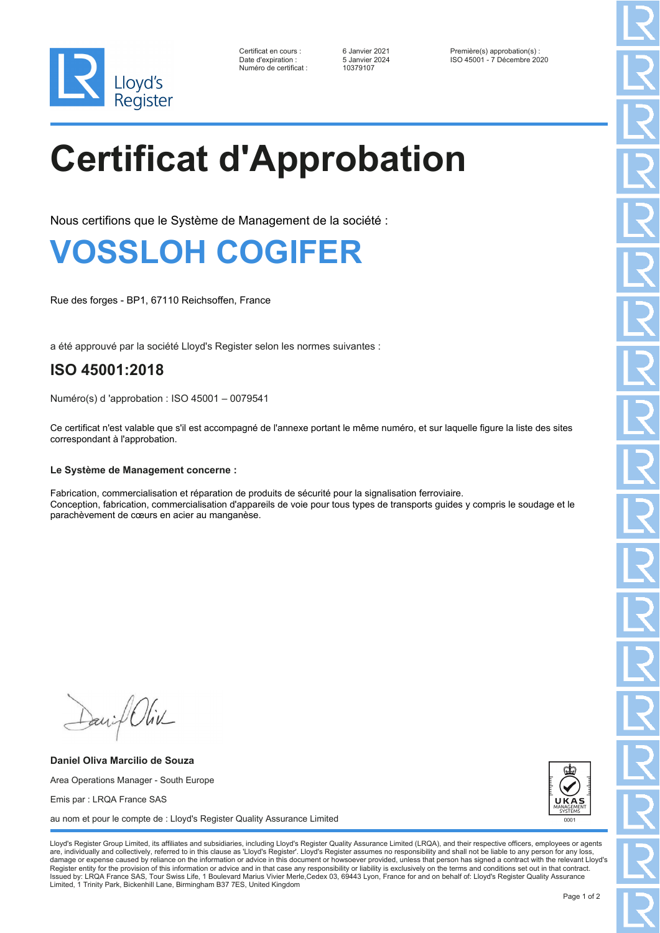

Numéro de certificat : 10379107

Certificat en cours : 6 Janvier 2021 Première(s) approbation(s) : Date d'expiration : 5 Janvier 2024 ISO 45001 - 7 Décembre 2020

# **Certificat d'Approbation**

Nous certifions que le Système de Management de la société :

## **VOSSLOH COGIFER**

Rue des forges - BP1, 67110 Reichsoffen, France

a été approuvé par la société Lloyd's Register selon les normes suivantes :

### **ISO 45001:2018**

Numéro(s) d 'approbation : ISO 45001 – 0079541

Ce certificat n'est valable que s'il est accompagné de l'annexe portant le même numéro, et sur laquelle figure la liste des sites correspondant à l'approbation.

### **Le Système de Management concerne :**

Fabrication, commercialisation et réparation de produits de sécurité pour la signalisation ferroviaire. Conception, fabrication, commercialisation d'appareils de voie pour tous types de transports guides y compris le soudage et le parachèvement de cœurs en acier au manganèse.

Daniel Oliv

**Daniel Oliva Marcilio de Souza** Area Operations Manager - South Europe Emis par : LRQA France SAS au nom et pour le compte de : Lloyd's Register Quality Assurance Limited



Lloyd's Register Group Limited, its affiliates and subsidiaries, including Lloyd's Register Quality Assurance Limited (LRQA), and their respective officers, employees or agents are, individually and collectively, referred to in this clause as 'Lloyd's Register'. Lloyd's Register assumes no responsibility and shall not be liable to any person for any los damage or expense caused by reliance on the information or advice in this document or howsoever provided, unless that person has signed a contract with the relevant Lloyd's<br>Register entity for the provision of this informa Issued by: LRQA France SAS, Tour Swiss Life, 1 Boulevard Marius Vivier Merle,Cedex 03, 69443 Lyon, France for and on behalf of: Lloyd's Register Quality Assurance Limited, 1 Trinity Park, Bickenhill Lane, Birmingham B37 7ES, United Kingdom